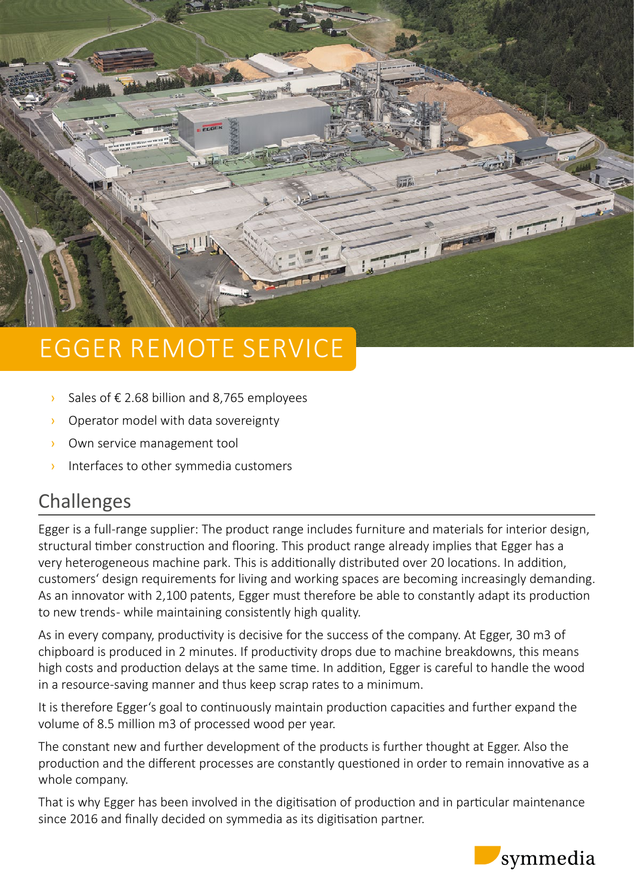

# EGGER REMOTE SERVICE

- $\angle$  Sales of € 2.68 billion and 8,765 employees
- › Operator model with data sovereignty
- › Own service management tool
- › Interfaces to other symmedia customers

## Challenges

Egger is a full-range supplier: The product range includes furniture and materials for interior design, structural timber construction and flooring. This product range already implies that Egger has a very heterogeneous machine park. This is additionally distributed over 20 locations. In addition, customers' design requirements for living and working spaces are becoming increasingly demanding. As an innovator with 2,100 patents, Egger must therefore be able to constantly adapt its production to new trends- while maintaining consistently high quality.

As in every company, productivity is decisive for the success of the company. At Egger, 30 m3 of chipboard is produced in 2 minutes. If productivity drops due to machine breakdowns, this means high costs and production delays at the same time. In addition, Egger is careful to handle the wood in a resource-saving manner and thus keep scrap rates to a minimum.

It is therefore Egger's goal to continuously maintain production capacities and further expand the volume of 8.5 million m3 of processed wood per year.

The constant new and further development of the products is further thought at Egger. Also the production and the different processes are constantly questioned in order to remain innovative as a whole company.

That is why Egger has been involved in the digitisation of production and in particular maintenance since 2016 and finally decided on symmedia as its digitisation partner.

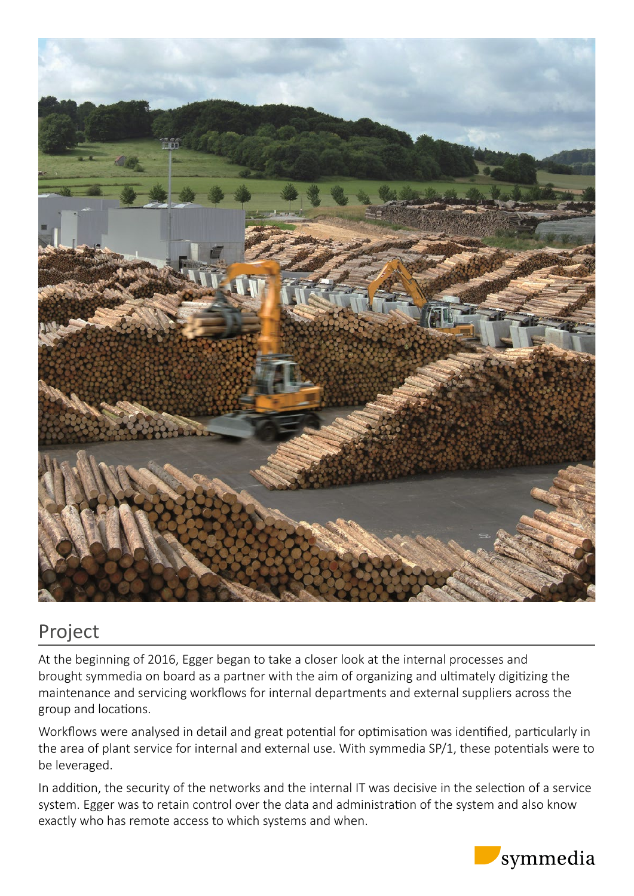

### Project

At the beginning of 2016, Egger began to take a closer look at the internal processes and brought symmedia on board as a partner with the aim of organizing and ultimately digitizing the maintenance and servicing workflows for internal departments and external suppliers across the group and locations.

Workflows were analysed in detail and great potential for optimisation was identified, particularly in the area of plant service for internal and external use. With symmedia SP/1, these potentials were to be leveraged.

In addition, the security of the networks and the internal IT was decisive in the selection of a service system. Egger was to retain control over the data and administration of the system and also know exactly who has remote access to which systems and when.